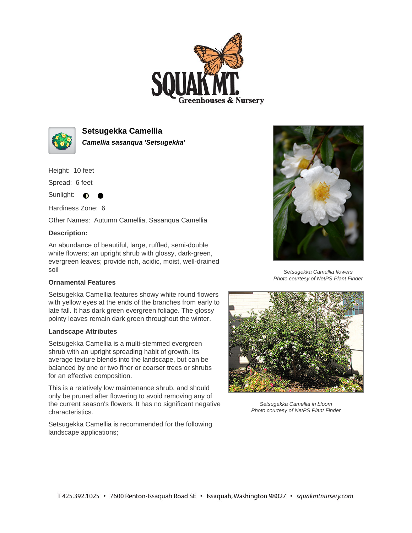



**Setsugekka Camellia Camellia sasanqua 'Setsugekka'**

Height: 10 feet

Spread: 6 feet

Sunlight:  $\bullet$ 

Hardiness Zone: 6

Other Names: Autumn Camellia, Sasanqua Camellia

## **Description:**

An abundance of beautiful, large, ruffled, semi-double white flowers; an upright shrub with glossy, dark-green, evergreen leaves; provide rich, acidic, moist, well-drained soil

## **Ornamental Features**

Setsugekka Camellia features showy white round flowers with yellow eyes at the ends of the branches from early to late fall. It has dark green evergreen foliage. The glossy pointy leaves remain dark green throughout the winter.

## **Landscape Attributes**

Setsugekka Camellia is a multi-stemmed evergreen shrub with an upright spreading habit of growth. Its average texture blends into the landscape, but can be balanced by one or two finer or coarser trees or shrubs for an effective composition.

This is a relatively low maintenance shrub, and should only be pruned after flowering to avoid removing any of the current season's flowers. It has no significant negative characteristics.

Setsugekka Camellia is recommended for the following landscape applications;



Setsugekka Camellia flowers Photo courtesy of NetPS Plant Finder



Setsugekka Camellia in bloom Photo courtesy of NetPS Plant Finder